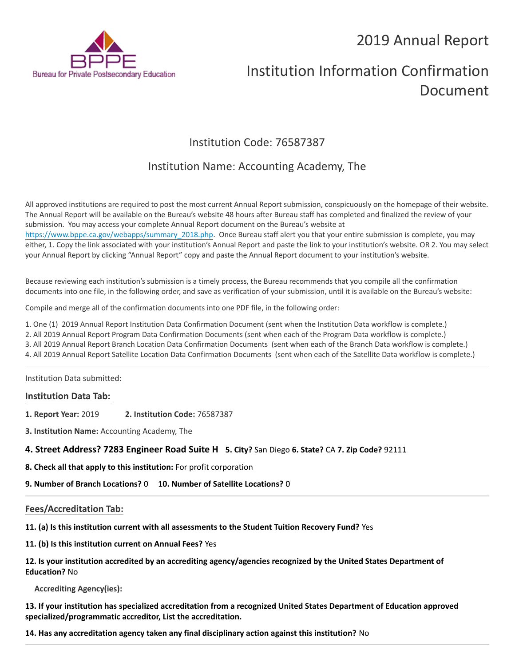## 2019 Annual Report



# Institution Information Confirmation Document

## Institution Code: 76587387

### Institution Name: Accounting Academy, The

All approved institutions are required to post the most current Annual Report submission, conspicuously on the homepage of their website. The Annual Report will be available on the Bureau's website 48 hours after Bureau staff has completed and finalized the review of your submission. You may access your complete Annual Report document on the Bureau's website at [https://www.bppe.ca.gov/webapps/summary\\_2018.php.](https://www.bppe.ca.gov/webapps/summary_2018.php) Once Bureau staff alert you that your entire submission is complete, you may either, 1. Copy the link associated with your institution's Annual Report and paste the link to your institution's website. OR 2. You may select your Annual Report by clicking "Annual Report" copy and paste the Annual Report document to your institution's website.

Because reviewing each institution's submission is a timely process, the Bureau recommends that you compile all the confirmation documents into one file, in the following order, and save as verification of your submission, until it is available on the Bureau's website:

Compile and merge all of the confirmation documents into one PDF file, in the following order:

1. One (1) 2019 Annual Report Institution Data Confirmation Document (sent when the Institution Data workflow is complete.)

2. All 2019 Annual Report Program Data Confirmation Documents (sent when each of the Program Data workflow is complete.)

3. All 2019 Annual Report Branch Location Data Confirmation Documents (sent when each of the Branch Data workflow is complete.)

4. All 2019 Annual Report Satellite Location Data Confirmation Documents (sent when each of the Satellite Data workflow is complete.)

Institution Data submitted:

#### **Institution Data Tab:**

- **1. Report Year:** 2019 **2. Institution Code:** 76587387
- **3. Institution Name:** Accounting Academy, The

**4. Street Address? 7283 Engineer Road Suite H 5. City?** San Diego **6. State?** CA **7. Zip Code?** 92111

**8. Check all that apply to this institution:** For profit corporation

**9. Number of Branch Locations?** 0 **10. Number of Satellite Locations?** 0

#### **Fees/Accreditation Tab:**

**11. (a) Is this institution current with all assessments to the Student Tuition Recovery Fund?** Yes

**11. (b) Is this institution current on Annual Fees?** Yes

**12. Is your institution accredited by an accrediting agency/agencies recognized by the United States Department of Education?** No

**Accrediting Agency(ies):**

**13. If your institution has specialized accreditation from a recognized United States Department of Education approved specialized/programmatic accreditor, List the accreditation.**

**14. Has any accreditation agency taken any final disciplinary action against this institution?** No